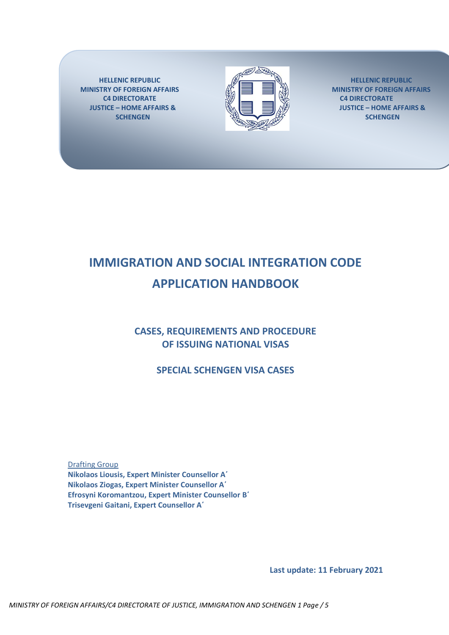**HELLENIC REPUBLIC MINISTRY OF FOREIGN AFFAIRS C4 DIRECTORATE JUSTICE – HOME AFFAIRS & SCHENGEN**



**HELLENIC REPUBLIC MINISTRY OF FOREIGN AFFAIRS C4 DIRECTORATE JUSTICE – HOME AFFAIRS & SCHENGEN**

# **IMMIGRATION AND SOCIAL INTEGRATION CODE APPLICATION HANDBOOK**

# **CASES, REQUIREMENTS AND PROCEDURE OF ISSUING NATIONAL VISAS**

**SPECIAL SCHENGEN VISA CASES**

Drafting Group **Nikolaos Liousis, Expert Minister Counsellor A΄ Nikolaos Ziogas, Expert Minister Counsellor A΄ Efrosyni Koromantzou, Expert Minister Counsellor Β΄ Trisevgeni Gaitani, Expert Counsellor A΄**

**Last update: 11 February 2021**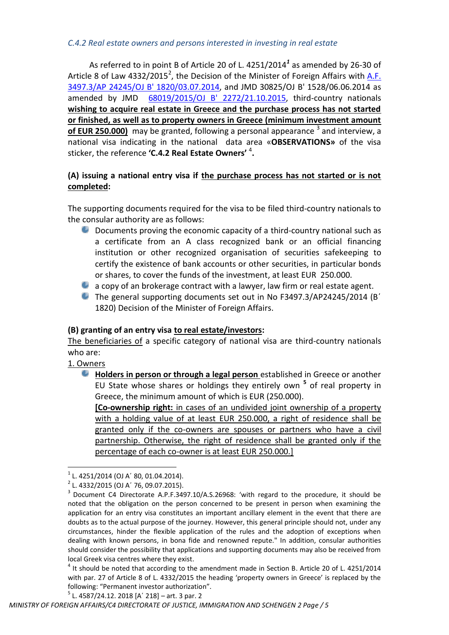#### *C.4.2 Real estate owners and persons interested in investing in real estate*

As referred to in point B of Article 20 of L. 4251/2014*[1](http://www.ypes.gr/UserFiles/f0ff9297-f516-40ff-a70e-eca84e2ec9b9/n4251_2014.pdf)* as amended by 26-30 of Article 8 of Law 4332/2015<sup>2</sup>, the Decision of the Minister of Foreign Affairs with [A.F.](../../../../AppData/local/AppData/AppData/local/Temp/AppData/local/AppData/User/AppData/local/Microsoft/Windows/temporary%20Internet%20files/AppData/local/local/local%20Settings/temporary%20Internet%20files/content.Outlook/YHDHVA7V/4251_2014/KYA_GENIKADIKAIOLOGITIKA.pdf) [3497.3/AP 24245/OJ](../../../../AppData/local/AppData/AppData/local/Temp/AppData/local/AppData/User/AppData/local/Microsoft/Windows/temporary%20Internet%20files/AppData/local/local/local%20Settings/temporary%20Internet%20files/content.Outlook/YHDHVA7V/4251_2014/KYA_GENIKADIKAIOLOGITIKA.pdf) B' 1820/03.07.2014, and JMD 30825/OJ B' 1528/06.06.2014 as amended by JMD 68019/2015/OJ [B' 2272/21.10.2015,](http://www.et.gr/idocs-nph/search/pdfViewerForm.html?args=5C7QrtC22wE4q6ggiv8WTXdtvSoClrL8liRx8Eq_4LLnMRVjyfnPUeJInJ48_97uHrMts-zFzeyCiBSQOpYnTy36MacmUFCx2ppFvBej56Mmc8Qdb8ZfRJqZnsIAdk8Lv_e6czmhEembNmZCMxLMtZRZmioGQnC1lgT8IrH_oAhH04md543TAnJ0oH3PFWc0) third-country nationals **wishing to acquire real estate in Greece and the purchase process has not started or finished, as well as to property owners in Greece (minimum investment amount**  of EUR 250.000) may be granted, following a personal appearance <sup>3</sup> and interview, a national visa indicating in the national data area «**OBSERVATIONS»** of the visa sticker, the reference **'C.4.2 Real Estate Owners'** <sup>4</sup> **.** 

# **(A) issuing a national entry visa if the purchase process has not started or is not completed:**

The supporting documents required for the visa to be filed third-country nationals to the consular authority are as follows:

- Documents proving the economic capacity of a third-country national such as е. a certificate from an A class recognized bank or an official financing institution or other recognized organisation of securities safekeeping to certify the existence of bank accounts or other securities, in particular bonds or shares, to cover the funds of the investment, at least EUR 250.000.
- a copy of an brokerage contract with a lawyer, law firm or real estate agent.
- The general supporting documents set out in No F3497.3/AP24245/2014 (B΄ 1820) Decision of the Minister of Foreign Affairs.

# **(B) granting of an entry visa to real estate/investors:**

The beneficiaries of a specific category of national visa are third-country nationals who are:

1. Owners

<u>.</u>

**Holders in person or through a legal person** established in Greece or another EU State whose shares or holdings they entirely own **<sup>5</sup>** of real property in Greece, the minimum amount of which is EUR (250.000).

**[Co-ownership right:** in cases of an undivided joint ownership of a property with a holding value of at least EUR 250.000, a right of residence shall be granted only if the co-owners are spouses or partners who have a civil partnership. Otherwise, the right of residence shall be granted only if the percentage of each co-owner is at least EUR 250.000.]

 $<sup>5</sup>$  L. 4587/24.12. 2018 [A' 218] – art. 3 par. 2</sup>

<sup>1</sup> L. 4251/2014 (OJ A΄ 80, 01.04.2014).

<sup>2</sup> L. 4332/2015 (OJ A΄ 76, 09.07.2015).

<sup>&</sup>lt;sup>3</sup> Document C4 Directorate A.P.F.3497.10/A.S.26968: 'with regard to the procedure, it should be noted that the obligation on the person concerned to be present in person when examining the application for an entry visa constitutes an important ancillary element in the event that there are doubts as to the actual purpose of the journey. However, this general principle should not, under any circumstances, hinder the flexible application of the rules and the adoption of exceptions when dealing with known persons, in bona fide and renowned repute." In addition, consular authorities should consider the possibility that applications and supporting documents may also be received from local Greek visa centres where they exist.

<sup>&</sup>lt;sup>4</sup> It should be noted that according to the amendment made in Section B. Article 20 of L. 4251/2014 with par. 27 of Article 8 of L. 4332/2015 the heading 'property owners in Greece' is replaced by the following: "Permanent investor authorization".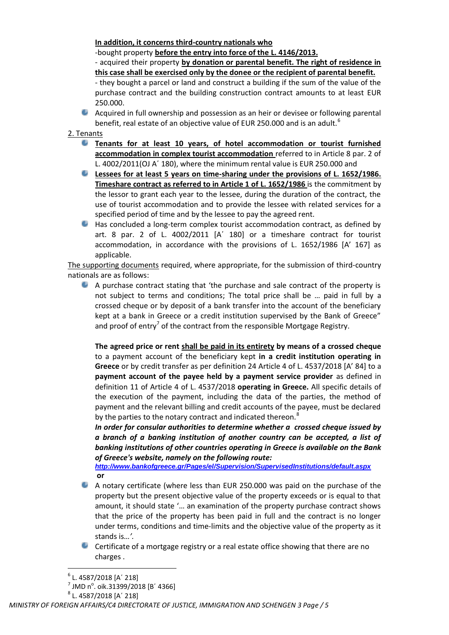## **In addition, it concerns third-country nationals who**

-bought property **before the entry into force of the L. 4146/2013.**

- acquired their property **by donation or parental benefit. The right of residence in this case shall be exercised only by the donee or the recipient of parental benefit.**

- they bought a parcel or land and construct a building if the sum of the value of the purchase contract and the building construction contract amounts to at least EUR 250.000.

Acquired in full ownership and possession as an heir or devisee or following parental benefit, real estate of an objective value of EUR 250.000 and is an adult.<sup>6</sup>

#### 2. Tenants

- 0 **Tenants for at least 10 years, of hotel accommodation or tourist furnished accommodation in complex tourist accommodation** referred to in Article 8 par. 2 of L. 4002/2011(OJ A΄ 180), where the minimum rental value is EUR 250.000 and
- **Lessees for at least 5 years on time-sharing under the provisions of L. 1652/1986. Timeshare contract as referred to in Article 1 of L. 1652/1986** is the commitment by the lessor to grant each year to the lessee, during the duration of the contract, the use of tourist accommodation and to provide the lessee with related services for a specified period of time and by the lessee to pay the agreed rent.
- Has concluded a long-term complex tourist accommodation contract, as defined by Ф. art. 8 par. 2 of L. 4002/2011 [A΄ 180] or a timeshare contract for tourist accommodation, in accordance with the provisions of L. 1652/1986 [A' 167] as applicable.

The supporting documents required, where appropriate, for the submission of third-country nationals are as follows:

A purchase contract stating that 'the purchase and sale contract of the property is not subject to terms and conditions; The total price shall be … paid in full by a crossed cheque or by deposit of a bank transfer into the account of the beneficiary kept at a bank in Greece or a credit institution supervised by the Bank of Greece" and proof of entry<sup>7</sup> of the contract from the responsible Mortgage Registry.

**The agreed price or rent shall be paid in its entirety by means of a crossed cheque**  to a payment account of the beneficiary kept **in a credit institution operating in Greece** or by credit transfer as per definition 24 Article 4 of L. 4537/2018 [A' 84] to a **payment account of the payee held by a payment service provider** as defined in definition 11 of Article 4 of L. 4537/2018 **operating in Greece.** All specific details of the execution of the payment, including the data of the parties, the method of payment and the relevant billing and credit accounts of the payee, must be declared by the parties to the notary contract and indicated thereon. $8$ 

*In order for consular authorities to determine whether a crossed cheque issued by a branch of a banking institution of another country can be accepted, a list of banking institutions of other countries operating in Greece is available on the Bank of Greece's website, namely on the following route:*

*<http://www.bankofgreece.gr/Pages/el/Supervision/SupervisedInstitutions/default.aspx>* **or**

- е. A notary certificate (where less than EUR 250.000 was paid on the purchase of the property but the present objective value of the property exceeds or is equal to that amount, it should state '… an examination of the property purchase contract shows that the price of the property has been paid in full and the contract is no longer under terms, conditions and time-limits and the objective value of the property as it stands is*…'.*
- Certificate of a mortgage registry or a real estate office showing that there are no charges .

<u>.</u>

<sup>6</sup> L. 4587/2018 [A΄ 218]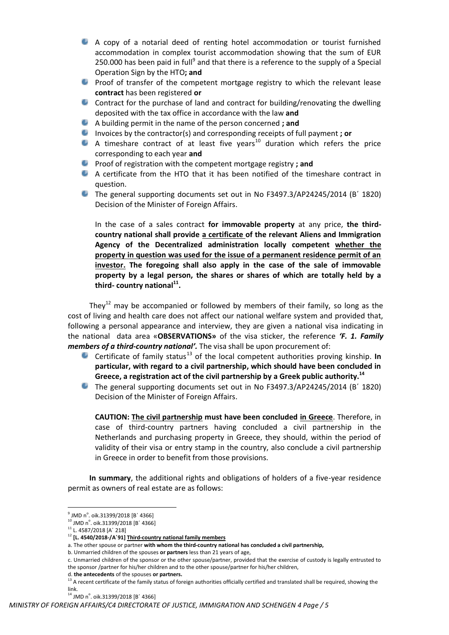- A copy of a notarial deed of renting hotel accommodation or tourist furnished accommodation in complex tourist accommodation showing that the sum of EUR 250.000 has been paid in full<sup>9</sup> and that there is a reference to the supply of a Special Operation Sign by the ΗΤΟ**; and**
- Proof of transfer of the competent mortgage registry to which the relevant lease **contract** has been registered **or**
- Contract for the purchase of land and contract for building/renovating the dwelling deposited with the tax office in accordance with the law **and**
- $\bullet$ A building permit in the name of the person concerned **; and**
- $\bullet$ Invoices by the contractor(s) and corresponding receipts of full payment **; or**
- A timeshare contract of at least five years<sup>10</sup> duration which refers the price corresponding to each year **and**
- Proof of registration with the competent mortgage registry **; and**
- A certificate from the HTO that it has been notified of the timeshare contract in question.
- The general supporting documents set out in No F3497.3/AP24245/2014 (B΄ 1820) Decision of the Minister of Foreign Affairs.

In the case of a sales contract **for immovable property** at any price, **the thirdcountry national shall provide a certificate of the relevant Aliens and Immigration Agency of the Decentralized administration locally competent whether the property in question was used for the issue of a permanent residence permit of an investor. The foregoing shall also apply in the case of the sale of immovable property by a legal person, the shares or shares of which are totally held by a third- country national<sup>11</sup> .**

They<sup>12</sup> may be accompanied or followed by members of their family, so long as the cost of living and health care does not affect our national welfare system and provided that, following a personal appearance and interview, they are given a national visa indicating in the national data area «**OBSERVATIONS»** of the visa sticker, the reference *'F. 1. Family members of a third-country national'.* The visa shall be upon procurement of:

- Certificate of family status<sup>13</sup> of the local competent authorities proving kinship. In **particular, with regard to a civil partnership, which should have been concluded in Greece, a registration act of the civil partnership by a Greek public authority.<sup>14</sup>**
- The general supporting documents set out in No F3497.3/AP24245/2014 (B΄ 1820) Decision of the Minister of Foreign Affairs.

**CAUTION: The civil partnership must have been concluded in Greece**. Therefore, in case of third-country partners having concluded a civil partnership in the Netherlands and purchasing property in Greece, they should, within the period of validity of their visa or entry stamp in the country, also conclude a civil partnership in Greece in order to benefit from those provisions.

**In summary**, the additional rights and obligations of holders of a five-year residence permit as owners of real estate are as follows:

 9 JMD n<sup>o</sup> . oik.31399/2018 [B΄ 4366]

 $^{10}$  JMD n<sup>o</sup>. oik.31399/2018 [B' 4366]

<sup>11</sup> L. 4587/2018 [A΄ 218]

<sup>12</sup> **[L. 4540/2018-/A΄91] Third-country national family members**

a. The other spouse or partner **with whom the third-country national has concluded a civil partnership,**

b. Unmarried children of the spouses **or partners** less than 21 years of age,

c. Unmarried children of the sponsor or the other spouse/partner, provided that the exercise of custody is legally entrusted to the sponsor /partner for his/her children and to the other spouse/partner for his/her children,

d. **the antecedents** of the spouses **or partners.**

<sup>&</sup>lt;sup>13</sup> A recent certificate of the family status of foreign authorities officially certified and translated shall be required, showing the link.